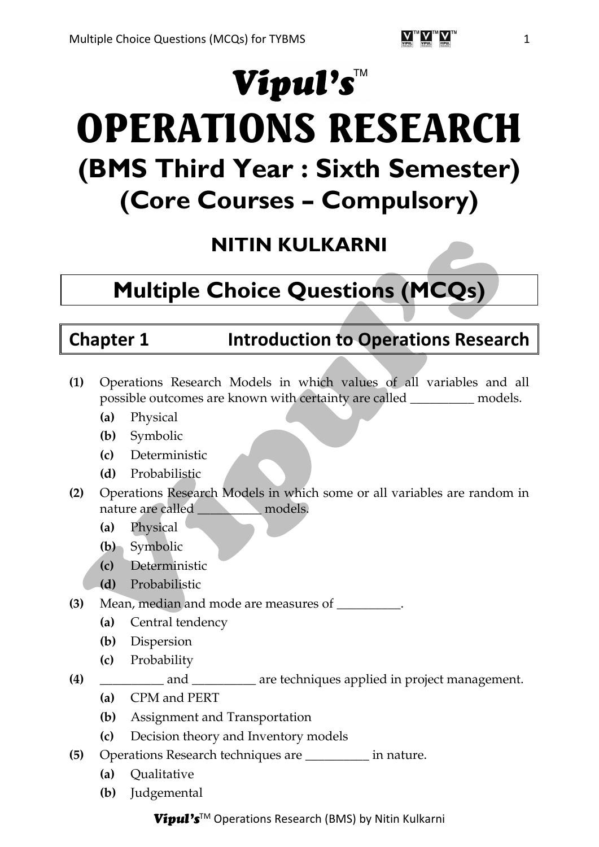# Vipul's™

# OPERATIONS RESEARCH **(BMS Third Year : Sixth Semester) (Core Courses – Compulsory)**

# **NITIN KULKARNI**

# **Multiple Choice Questions (MCQs)**

# **Chapter 1 Introduction to Operations Research**

- **(1)** Operations Research Models in which values of all variables and all possible outcomes are known with certainty are called \_\_\_\_\_\_\_\_\_\_ models.
	- **(a)** Physical
	- **(b)** Symbolic
	- **(c)** Deterministic
	- **(d)** Probabilistic
- **(2)** Operations Research Models in which some or all variables are random in nature are called \_\_\_\_\_\_\_\_\_\_ models.
	- **(a)** Physical
	- **(b)** Symbolic
	- **(c)** Deterministic
	- **(d)** Probabilistic
- **(3)** Mean, median and mode are measures of \_\_\_\_\_\_\_\_\_\_.
	- **(a)** Central tendency
	- **(b)** Dispersion
	- **(c)** Probability
- **(4)** \_\_\_\_\_\_\_\_\_\_ and \_\_\_\_\_\_\_\_\_\_ are techniques applied in project management.
	- **(a)** CPM and PERT
	- **(b)** Assignment and Transportation
	- **(c)** Decision theory and Inventory models
- **(5)** Operations Research techniques are \_\_\_\_\_\_\_\_\_\_ in nature.
	- **(a)** Qualitative
	- **(b)** Judgemental

### Vipul's™ Operations Research (BMS) by Nitin Kulkarni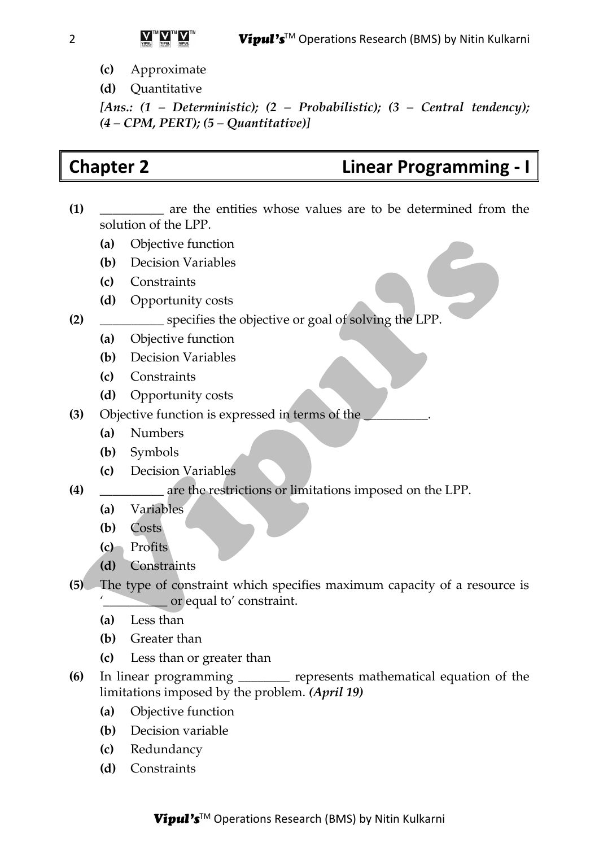- **(c)** Approximate
- **(d)** Quantitative

*[Ans.: (1 – Deterministic); (2 – Probabilistic); (3 – Central tendency); (4 – CPM, PERT); (5 – Quantitative)]*

# **Chapter 2 Linear Programming - I**

- **(1)** \_\_\_\_\_\_\_\_\_\_ are the entities whose values are to be determined from the solution of the LPP.
	- **(a)** Objective function
	- **(b)** Decision Variables
	- **(c)** Constraints
	- **(d)** Opportunity costs
- **(2)** \_\_\_\_\_\_\_\_\_\_ specifies the objective or goal of solving the LPP.
	- **(a)** Objective function
	- **(b)** Decision Variables
	- **(c)** Constraints
	- **(d)** Opportunity costs
- **(3)** Objective function is expressed in terms of the \_\_\_\_\_\_\_\_\_\_.
	- **(a)** Numbers
	- **(b)** Symbols
	- **(c)** Decision Variables
- **(4)** \_\_\_\_\_\_\_\_\_\_ are the restrictions or limitations imposed on the LPP.
	- **(a)** Variables
	- **(b)** Costs
	- **(c)** Profits
	- **(d)** Constraints
- **(5)** The type of constraint which specifies maximum capacity of a resource is '\_\_\_\_\_\_\_\_\_\_ or equal to' constraint.
	- **(a)** Less than
	- **(b)** Greater than
	- **(c)** Less than or greater than
- **(6)** In linear programming \_\_\_\_\_\_\_\_ represents mathematical equation of the limitations imposed by the problem. *(April 19)*
	- **(a)** Objective function
	- **(b)** Decision variable
	- **(c)** Redundancy
	- **(d)** Constraints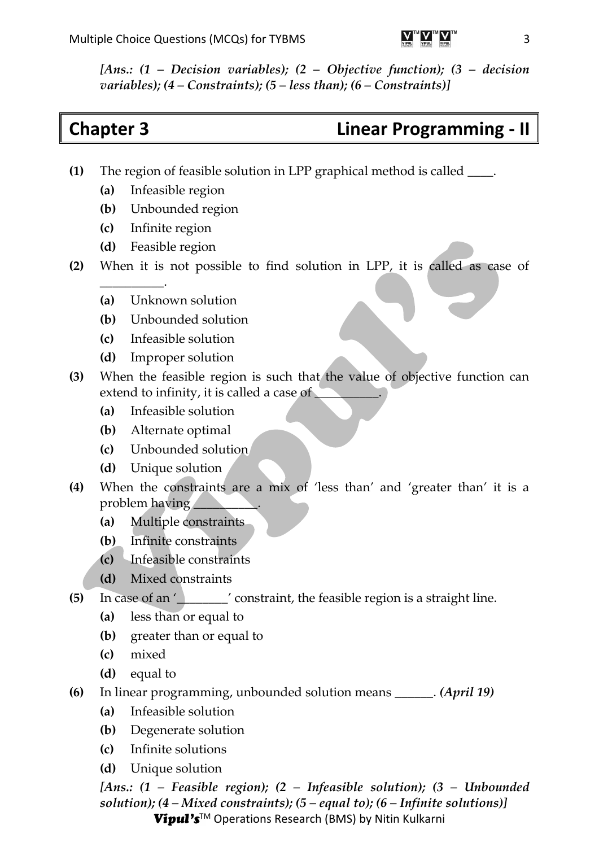*[Ans.: (1 – Decision variables); (2 – Objective function); (3 – decision variables); (4 – Constraints); (5 – less than); (6 – Constraints)]*

## **Chapter 3 Linear Programming - II**

- **(1)** The region of feasible solution in LPP graphical method is called \_\_\_\_.
	- **(a)** Infeasible region
	- **(b)** Unbounded region
	- **(c)** Infinite region
	- **(d)** Feasible region

 $\overline{\phantom{a}}$  .

- **(2)** When it is not possible to find solution in LPP, it is called as case of
	- **(a)** Unknown solution
	- **(b)** Unbounded solution
	- **(c)** Infeasible solution
	- **(d)** Improper solution
- **(3)** When the feasible region is such that the value of objective function can extend to infinity, it is called a case of
	- **(a)** Infeasible solution
	- **(b)** Alternate optimal
	- **(c)** Unbounded solution
	- **(d)** Unique solution
- **(4)** When the constraints are a mix of 'less than' and 'greater than' it is a problem having
	- **(a)** Multiple constraints
	- **(b)** Infinite constraints
	- **(c)** Infeasible constraints
	- **(d)** Mixed constraints
- **(5)** In case of an '\_\_\_\_\_\_\_\_' constraint, the feasible region is a straight line.
	- **(a)** less than or equal to
	- **(b)** greater than or equal to
	- **(c)** mixed
	- **(d)** equal to
- **(6)** In linear programming, unbounded solution means \_\_\_\_\_\_. *(April 19)*
	- **(a)** Infeasible solution
	- **(b)** Degenerate solution
	- **(c)** Infinite solutions
	- **(d)** Unique solution

*[Ans.: (1 – Feasible region); (2 – Infeasible solution); (3 – Unbounded solution); (4 – Mixed constraints); (5 – equal to); (6 – Infinite solutions)]*

Vipul's™ Operations Research (BMS) by Nitin Kulkarni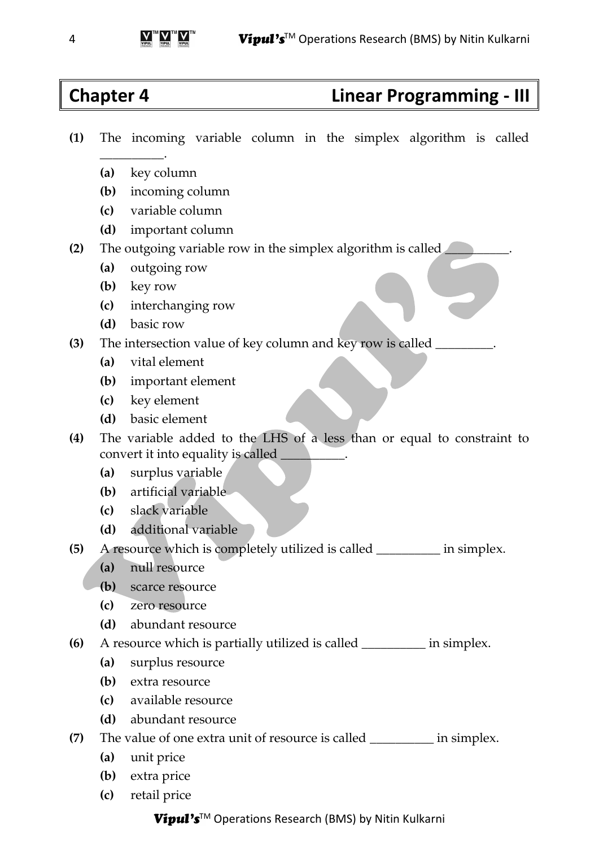## **Chapter 4 Linear Programming - III**

- **(1)** The incoming variable column in the simplex algorithm is called
	- **(a)** key column

 $\overline{\phantom{a}}$  .

- **(b)** incoming column
- **(c)** variable column
- **(d)** important column
- **(2)** The outgoing variable row in the simplex algorithm is called \_\_\_\_\_\_\_\_\_\_.
	- **(a)** outgoing row
	- **(b)** key row
	- **(c)** interchanging row
	- **(d)** basic row
- **(3)** The intersection value of key column and key row is called \_\_\_\_\_\_\_\_\_.
	- **(a)** vital element
	- **(b)** important element
	- **(c)** key element
	- **(d)** basic element
- **(4)** The variable added to the LHS of a less than or equal to constraint to convert it into equality is called \_\_\_\_\_\_\_\_\_\_.
	- **(a)** surplus variable
	- **(b)** artificial variable
	- **(c)** slack variable
	- **(d)** additional variable
- **(5)** A resource which is completely utilized is called \_\_\_\_\_\_\_\_\_\_ in simplex.
	- **(a)** null resource
	- **(b)** scarce resource
	- **(c)** zero resource
	- **(d)** abundant resource
- **(6)** A resource which is partially utilized is called \_\_\_\_\_\_\_\_\_\_ in simplex.
	- **(a)** surplus resource
	- **(b)** extra resource
	- **(c)** available resource
	- **(d)** abundant resource
- **(7)** The value of one extra unit of resource is called \_\_\_\_\_\_\_\_\_\_ in simplex.
	- **(a)** unit price
	- **(b)** extra price
	- **(c)** retail price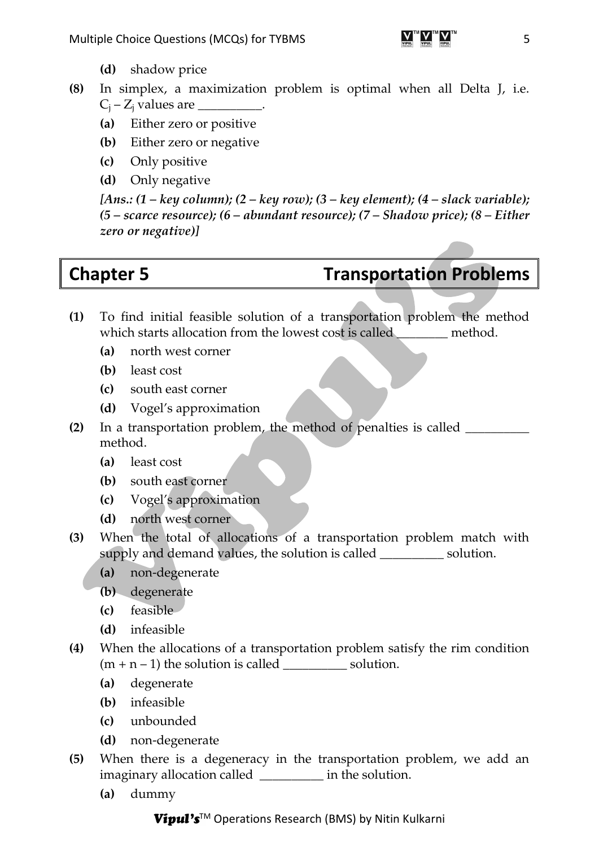- **(8)** In simplex, a maximization problem is optimal when all Delta J, i.e.  $C_i - Z_i$  values are  $\qquad \qquad$ .
	- **(a)** Either zero or positive
	- **(b)** Either zero or negative
	- **(c)** Only positive
	- **(d)** Only negative

*[Ans.: (1 – key column); (2 – key row); (3 – key element); (4 – slack variable); (5 – scarce resource); (6 – abundant resource); (7 – Shadow price); (8 – Either zero or negative)]*

# **Chapter 5 Transportation Problems**

- **(1)** To find initial feasible solution of a transportation problem the method which starts allocation from the lowest cost is called **method**.
	- **(a)** north west corner
	- **(b)** least cost
	- **(c)** south east corner
	- **(d)** Vogel's approximation
- **(2)** In a transportation problem, the method of penalties is called \_\_\_\_\_\_\_\_\_\_ method.
	- **(a)** least cost
	- **(b)** south east corner
	- **(c)** Vogel's approximation
	- **(d)** north west corner
- **(3)** When the total of allocations of a transportation problem match with supply and demand values, the solution is called \_\_\_\_\_\_\_\_\_\_ solution.
	- **(a)** non-degenerate
	- **(b)** degenerate
	- **(c)** feasible
	- **(d)** infeasible
- **(4)** When the allocations of a transportation problem satisfy the rim condition  $(m + n - 1)$  the solution is called \_\_\_\_\_\_\_\_\_\_\_\_\_ solution.
	- **(a)** degenerate
	- **(b)** infeasible
	- **(c)** unbounded
	- **(d)** non-degenerate
- **(5)** When there is a degeneracy in the transportation problem, we add an imaginary allocation called  $\qquad \qquad$  in the solution.
	- **(a)** dummy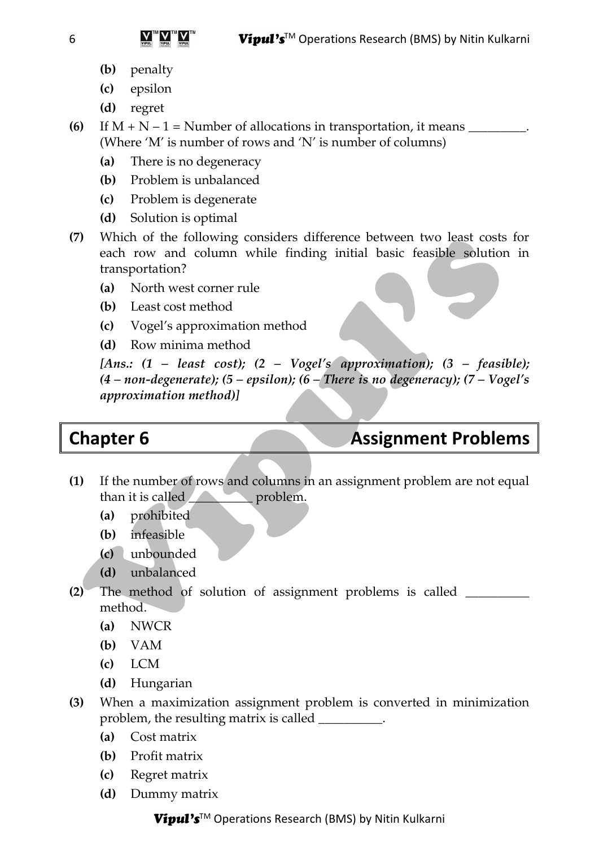- **(b)** penalty
- **(c)** epsilon
- **(d)** regret
- **(6)** If  $M + N 1$  = Number of allocations in transportation, it means \_\_\_\_\_\_\_\_\_. (Where 'M' is number of rows and 'N' is number of columns)
	- **(a)** There is no degeneracy
	- **(b)** Problem is unbalanced
	- **(c)** Problem is degenerate
	- **(d)** Solution is optimal
- **(7)** Which of the following considers difference between two least costs for each row and column while finding initial basic feasible solution in transportation?
	- **(a)** North west corner rule
	- **(b)** Least cost method
	- **(c)** Vogel's approximation method
	- **(d)** Row minima method

*[Ans.: (1 – least cost); (2 – Vogel's approximation); (3 – feasible); (4 – non-degenerate); (5 – epsilon); (6 – There is no degeneracy); (7 – Vogel's approximation method)]*

# **Chapter 6 Assignment Problems**

- **(1)** If the number of rows and columns in an assignment problem are not equal than it is called **than** it is called
	- **(a)** prohibited
	- **(b)** infeasible
	- **(c)** unbounded
	- **(d)** unbalanced
- **(2)** The method of solution of assignment problems is called \_\_\_\_\_\_\_\_\_\_ method.
	- **(a)** NWCR
	- **(b)** VAM
	- **(c)** LCM
	- **(d)** Hungarian
- **(3)** When a maximization assignment problem is converted in minimization problem, the resulting matrix is called \_\_\_\_\_\_\_\_\_\_.
	- **(a)** Cost matrix
	- **(b)** Profit matrix
	- **(c)** Regret matrix
	- **(d)** Dummy matrix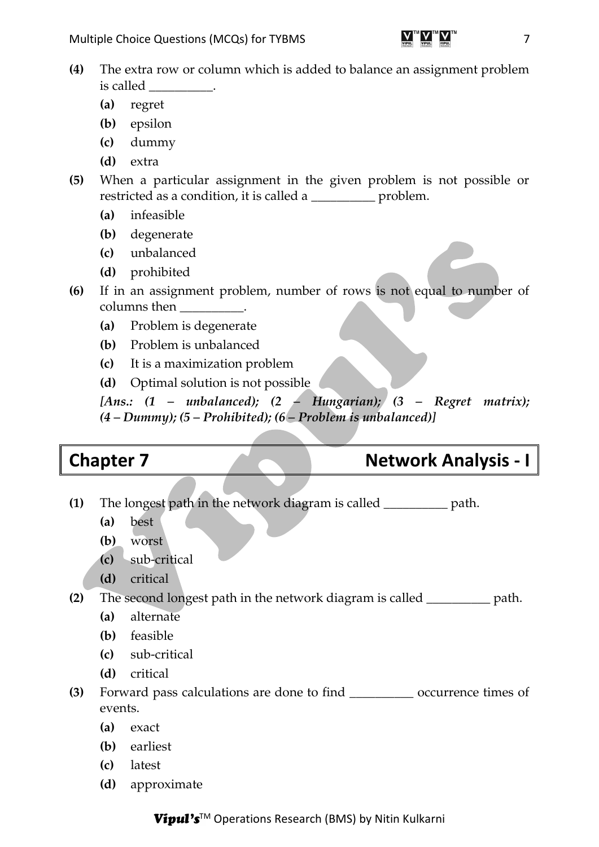

- **(a)** regret
- **(b)** epsilon
- **(c)** dummy
- **(d)** extra
- **(5)** When a particular assignment in the given problem is not possible or restricted as a condition, it is called a \_\_\_\_\_\_\_\_\_\_ problem.
	- **(a)** infeasible
	- **(b)** degenerate
	- **(c)** unbalanced
	- **(d)** prohibited
- **(6)** If in an assignment problem, number of rows is not equal to number of columns then
	- **(a)** Problem is degenerate
	- **(b)** Problem is unbalanced
	- **(c)** It is a maximization problem
	- **(d)** Optimal solution is not possible

*[Ans.: (1 – unbalanced); (2 – Hungarian); (3 – Regret matrix); (4 – Dummy); (5 – Prohibited); (6 – Problem is unbalanced)]*

### **Chapter 7 Network Analysis - I**

- **(1)** The longest path in the network diagram is called \_\_\_\_\_\_\_\_\_\_ path.
	- **(a)** best
	- **(b)** worst
	- **(c)** sub-critical
	- **(d)** critical

**(2)** The second longest path in the network diagram is called \_\_\_\_\_\_\_\_\_\_ path.

- **(a)** alternate
- **(b)** feasible
- **(c)** sub-critical
- **(d)** critical
- **(3)** Forward pass calculations are done to find \_\_\_\_\_\_\_\_\_\_ occurrence times of events.
	- **(a)** exact
	- **(b)** earliest
	- **(c)** latest
	- **(d)** approximate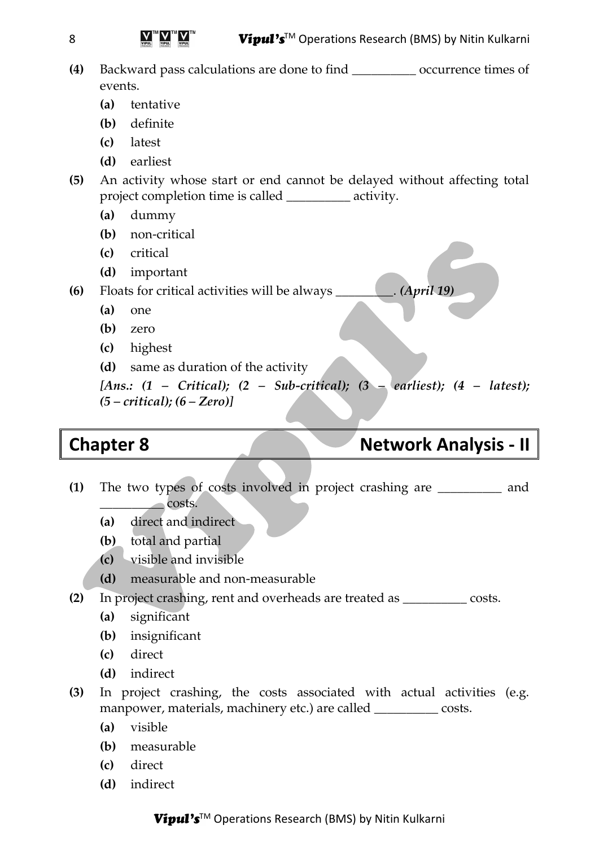### $Vioul's<sup>TM</sup> Operations Research (BMS) by Nitin Kulkarni$

- **(4)** Backward pass calculations are done to find \_\_\_\_\_\_\_\_\_\_ occurrence times of events.
	- **(a)** tentative
	- **(b)** definite
	- **(c)** latest
	- **(d)** earliest
- **(5)** An activity whose start or end cannot be delayed without affecting total project completion time is called \_\_\_\_\_\_\_\_\_\_ activity.
	- **(a)** dummy
	- **(b)** non-critical
	- **(c)** critical
	- **(d)** important

**(6)** Floats for critical activities will be always \_\_\_\_\_\_\_\_\_. *(April 19)*

- **(a)** one
- **(b)** zero
- **(c)** highest
- **(d)** same as duration of the activity

*[Ans.: (1 – Critical); (2 – Sub-critical); (3 – earliest); (4 – latest); (5 – critical); (6 – Zero)]*

# **Chapter 8 Network Analysis - II**

- **(1)** The two types of costs involved in project crashing are \_\_\_\_\_\_\_\_\_\_ and \_\_\_\_\_\_\_\_\_\_ costs.
	- **(a)** direct and indirect
	- **(b)** total and partial
	- **(c)** visible and invisible
	- **(d)** measurable and non-measurable
- **(2)** In project crashing, rent and overheads are treated as \_\_\_\_\_\_\_\_\_\_ costs.
	- **(a)** significant
	- **(b)** insignificant
	- **(c)** direct
	- **(d)** indirect
- **(3)** In project crashing, the costs associated with actual activities (e.g. manpower, materials, machinery etc.) are called \_\_\_\_\_\_\_\_\_\_ costs.
	- **(a)** visible
	- **(b)** measurable
	- **(c)** direct
	- **(d)** indirect

8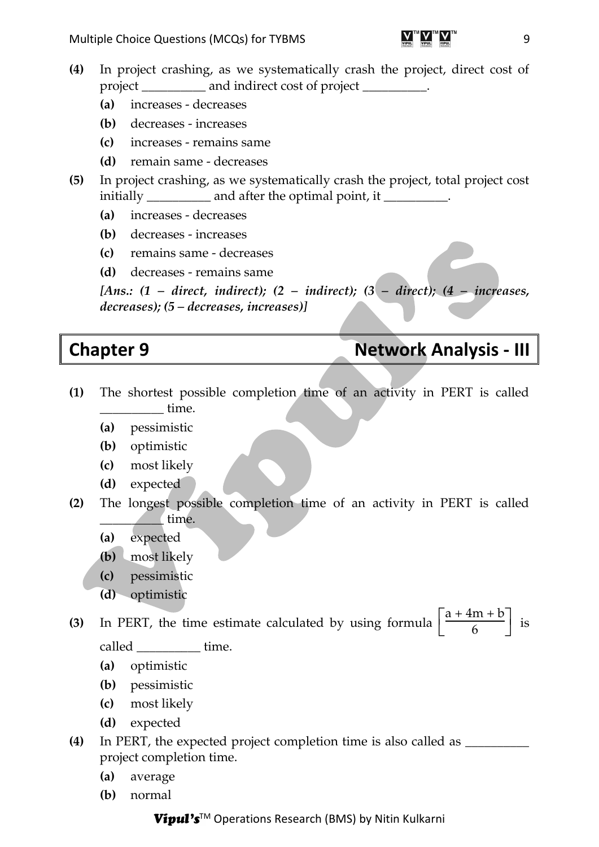- **(4)** In project crashing, as we systematically crash the project, direct cost of project \_\_\_\_\_\_\_\_\_\_ and indirect cost of project \_\_\_\_\_\_\_\_\_\_.
	- **(a)** increases decreases
	- **(b)** decreases increases
	- **(c)** increases remains same
	- **(d)** remain same decreases
- **(5)** In project crashing, as we systematically crash the project, total project cost initially and after the optimal point, it
	- **(a)** increases decreases
	- **(b)** decreases increases
	- **(c)** remains same decreases
	- **(d)** decreases remains same

*[Ans.: (1 – direct, indirect); (2 – indirect); (3 – direct); (4 – increases, decreases); (5 – decreases, increases)]*

# **Chapter 9 Network Analysis - III**

- **(1)** The shortest possible completion time of an activity in PERT is called \_\_\_\_\_\_\_\_\_\_ time.
	- **(a)** pessimistic
	- **(b)** optimistic
	- **(c)** most likely
	- **(d)** expected
- **(2)** The longest possible completion time of an activity in PERT is called \_\_\_\_\_\_\_\_\_\_ time.
	- **(a)** expected
	- **(b)** most likely
	- **(c)** pessimistic
	- **(d)** optimistic

**(3)** In PERT, the time estimate calculated by using formula  $\left[\frac{a+4m+b}{6}\right]$  $\frac{1}{6}$  is called time.

- **(a)** optimistic
- **(b)** pessimistic
- **(c)** most likely
- **(d)** expected
- **(4)** In PERT, the expected project completion time is also called as \_\_\_\_\_\_\_\_\_\_ project completion time.
	- **(a)** average
	- **(b)** normal

### Vipul's™ Operations Research (BMS) by Nitin Kulkarni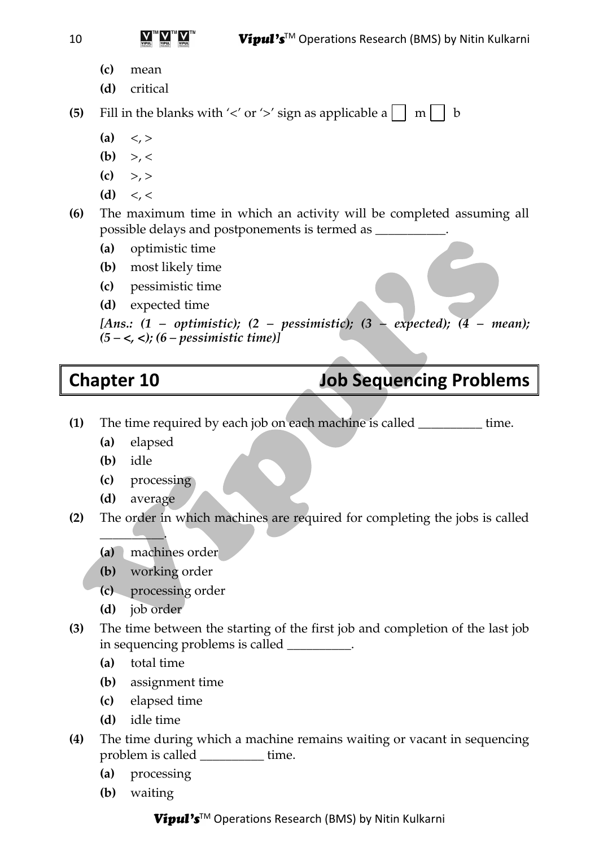- **(c)** mean
- **(d)** critical

**(5)** Fill in the blanks with ' $\lt'$  or ' $\gt'$  sign as applicable a  $\Box$  m  $\Box$  b

- $(a) <, >$
- (b)  $> 0.5 <$
- $(c)$  >, >
- $(d) < \leqslant$

**(6)** The maximum time in which an activity will be completed assuming all possible delays and postponements is termed as \_\_\_\_\_\_\_\_\_\_\_.

- **(a)** optimistic time
- **(b)** most likely time
- **(c)** pessimistic time
- **(d)** expected time

```
[Ans.: (1 – optimistic); (2 – pessimistic); (3 – expected); (4 – mean); 
(5 – <, <); (6 – pessimistic time)]
```
# **Chapter 10 Job Sequencing Problems**

- **(1)** The time required by each job on each machine is called \_\_\_\_\_\_\_\_\_\_ time.
	- **(a)** elapsed
	- **(b)** idle
	- **(c)** processing
	- **(d)** average

 $\overline{\phantom{a}}$  . The set of  $\overline{\phantom{a}}$ 

- **(2)** The order in which machines are required for completing the jobs is called
	- **(a)** machines order
	- **(b)** working order
	- **(c)** processing order
	- **(d)** job order
- **(3)** The time between the starting of the first job and completion of the last job in sequencing problems is called \_\_\_\_\_\_\_\_\_\_.
	- **(a)** total time
	- **(b)** assignment time
	- **(c)** elapsed time
	- **(d)** idle time
- **(4)** The time during which a machine remains waiting or vacant in sequencing problem is called time.
	- **(a)** processing
	- **(b)** waiting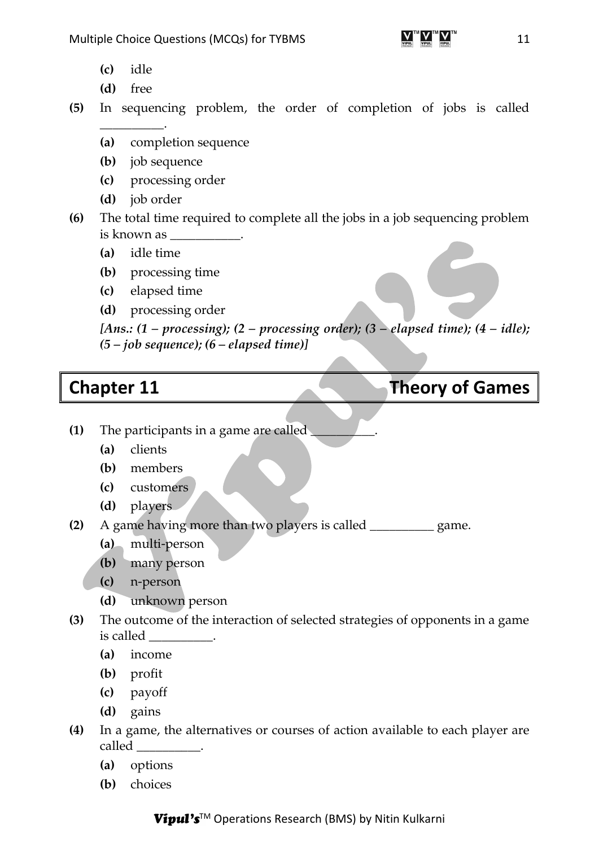- **(c)** idle
- **(d)** free
- **(5)** In sequencing problem, the order of completion of jobs is called  $\overline{\phantom{a}}$ 
	- **(a)** completion sequence
	- **(b)** job sequence
	- **(c)** processing order
	- **(d)** job order
- **(6)** The total time required to complete all the jobs in a job sequencing problem is known as
	- **(a)** idle time
	- **(b)** processing time
	- **(c)** elapsed time
	- **(d)** processing order

*[Ans.: (1 – processing); (2 – processing order); (3 – elapsed time); (4 – idle); (5 – job sequence); (6 – elapsed time)]*

## **Chapter 11 Chapter 11 Theory of Games**

- **(1)** The participants in a game are called \_\_\_\_\_\_\_\_\_\_.
	- **(a)** clients
	- **(b)** members
	- **(c)** customers
	- **(d)** players
- **(2)** A game having more than two players is called \_\_\_\_\_\_\_\_\_\_ game.
	- **(a)** multi-person
	- **(b)** many person
	- **(c)** n-person
	- **(d)** unknown person
- **(3)** The outcome of the interaction of selected strategies of opponents in a game is called \_\_\_\_\_\_\_\_\_\_.
	- **(a)** income
	- **(b)** profit
	- **(c)** payoff
	- **(d)** gains
- **(4)** In a game, the alternatives or courses of action available to each player are called \_\_\_\_\_\_\_\_\_\_.
	- **(a)** options
	- **(b)** choices